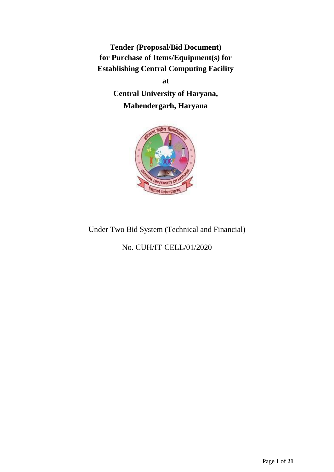**Tender (Proposal/Bid Document) for Purchase of Items/Equipment(s) for Establishing Central Computing Facility**

> **at Central University of Haryana, Mahendergarh, Haryana**



# Under Two Bid System (Technical and Financial)

No. CUH/IT-CELL/01/2020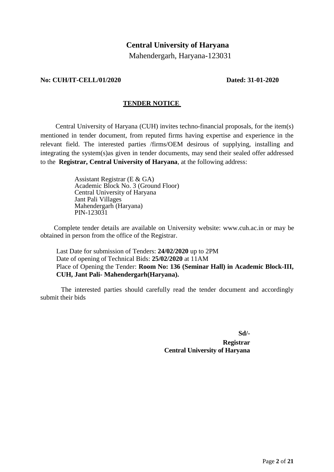## **Central University of Haryana**

Mahendergarh, Haryana-123031

#### **No: CUH/IT-CELL/01/2020 Dated: 31-01-2020**

## **TENDER NOTICE**

Central University of Haryana (CUH) invites techno-financial proposals, for the item(s) mentioned in tender document, from reputed firms having expertise and experience in the relevant field. The interested parties /firms/OEM desirous of supplying, installing and integrating the system(s)as given in tender documents, may send their sealed offer addressed to the **Registrar, Central University of Haryana**, at the following address:

> Assistant Registrar (E & GA) Academic Block No. 3 (Ground Floor) Central University of Haryana Jant Pali Villages Mahendergarh (Haryana) PIN-123031

Complete tender details are available on University website: [www.cuh.ac.in](http://www.cuh.ac.in/) or may be obtained in person from the office of the Registrar.

Last Date for submission of Tenders: **24/02/2020** up to 2PM Date of opening of Technical Bids: **25/02/2020** at 11AM Place of Opening the Tender: **Room No: 136 (Seminar Hall) in Academic Block-III, CUH, Jant Pali- Mahendergarh(Haryana).**

The interested parties should carefully read the tender document and accordingly submit their bids

> **Sd/- Registrar**

# **Central University of Haryana**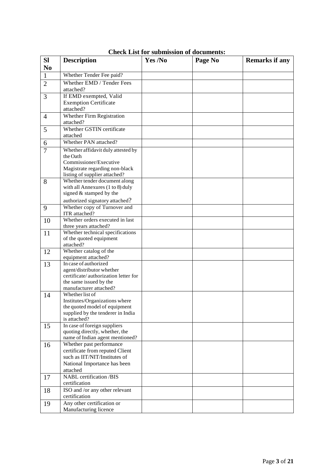| <b>SI</b>      | <b>Description</b>                                             | Yes /No | Page No | <b>Remarks if any</b> |
|----------------|----------------------------------------------------------------|---------|---------|-----------------------|
| N <sub>0</sub> |                                                                |         |         |                       |
| $\mathbf{1}$   | Whether Tender Fee paid?                                       |         |         |                       |
| $\overline{2}$ | Whether EMD / Tender Fees                                      |         |         |                       |
|                | attached?                                                      |         |         |                       |
| 3              | If EMD exempted, Valid                                         |         |         |                       |
|                | <b>Exemption Certificate</b>                                   |         |         |                       |
|                | attached?                                                      |         |         |                       |
| $\overline{4}$ | Whether Firm Registration                                      |         |         |                       |
|                | attached?                                                      |         |         |                       |
| 5              | Whether GSTIN certificate                                      |         |         |                       |
|                | attached<br>Whether PAN attached?                              |         |         |                       |
| 6              |                                                                |         |         |                       |
| $\overline{7}$ | Whether affidavit duly attested by<br>the Oath                 |         |         |                       |
|                | Commissioner/Executive                                         |         |         |                       |
|                | Magistrate regarding non-black                                 |         |         |                       |
|                | listing of supplier attached?                                  |         |         |                       |
| 8              | Whether tender document along                                  |         |         |                       |
|                | with all Annexures (1 to 8) duly                               |         |         |                       |
|                | signed & stamped by the                                        |         |         |                       |
|                | authorized signatory attached?                                 |         |         |                       |
| 9              | Whether copy of Turnover and                                   |         |         |                       |
|                | ITR attached?                                                  |         |         |                       |
| 10             | Whether orders executed in last                                |         |         |                       |
|                | three years attached?<br>Whether technical specifications      |         |         |                       |
| 11             | of the quoted equipment                                        |         |         |                       |
|                | attached?                                                      |         |         |                       |
| 12             | Whether catalog of the                                         |         |         |                       |
|                | equipment attached?                                            |         |         |                       |
| 13             | In case of authorized                                          |         |         |                       |
|                | agent/distributor whether                                      |         |         |                       |
|                | certificate/authorization letter for<br>the same issued by the |         |         |                       |
|                | manufacturer attached?                                         |         |         |                       |
| 14             | Whether list of                                                |         |         |                       |
|                | Institutes/Organizations where                                 |         |         |                       |
|                | the quoted model of equipment                                  |         |         |                       |
|                | supplied by the tenderer in India                              |         |         |                       |
|                | is attached?                                                   |         |         |                       |
| 15             | In case of foreign suppliers<br>quoting directly, whether, the |         |         |                       |
|                | name of Indian agent mentioned?                                |         |         |                       |
| 16             | Whether past performance                                       |         |         |                       |
|                | certificate from reputed Client                                |         |         |                       |
|                | such as IIT/NIT/Institutes of                                  |         |         |                       |
|                | National Importance has been                                   |         |         |                       |
|                | attached                                                       |         |         |                       |
| 17             | <b>NABL</b> certification /BIS                                 |         |         |                       |
|                | certification                                                  |         |         |                       |
| 18             | ISO and /or any other relevant                                 |         |         |                       |
|                | certification                                                  |         |         |                       |
| 19             | Any other certification or                                     |         |         |                       |
|                | Manufacturing licence                                          |         |         |                       |

**Check List for submission of documents:**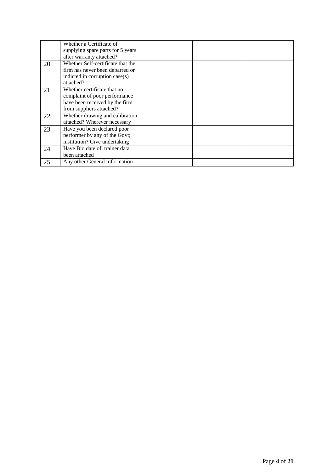|    | Whether a Certificate of<br>supplying spare parts for 5 years |  |  |
|----|---------------------------------------------------------------|--|--|
|    | after warranty attached?                                      |  |  |
| 20 | Whether Self-certificate that the                             |  |  |
|    | firm has never been debarred or                               |  |  |
|    | indicted in corruption case(s)                                |  |  |
|    | attached?                                                     |  |  |
| 21 | Whether certificate that no                                   |  |  |
|    | complaint of poor performance                                 |  |  |
|    | have been received by the firm                                |  |  |
|    | from suppliers attached?                                      |  |  |
| 22 | Whether drawing and calibration                               |  |  |
|    | attached? Wherever necessary                                  |  |  |
| 23 | Have you been declared poor                                   |  |  |
|    | performer by any of the Govt;                                 |  |  |
|    | institution? Give undertaking                                 |  |  |
| 24 | Have Bio date of trainer data                                 |  |  |
|    | been attached                                                 |  |  |
| 25 | Any other General information                                 |  |  |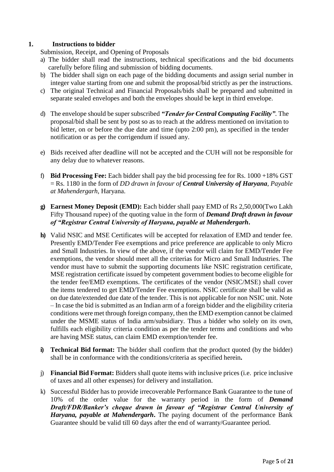## **1. Instructions to bidder**

Submission, Receipt, and Opening of Proposals

- a) The bidder shall read the instructions, technical specifications and the bid documents carefully before filing and submission of bidding documents.
- b) The bidder shall sign on each page of the bidding documents and assign serial number in integer value starting from one and submit the proposal/bid strictly as per the instructions.
- c) The original Technical and Financial Proposals/bids shall be prepared and submitted in separate sealed envelopes and both the envelopes should be kept in third envelope.
- d) The envelope should be super subscribed *"Tender for Central Computing Facility"*. The proposal/bid shall be sent by post so as to reach at the address mentioned on invitation to bid letter, on or before the due date and time (upto 2:00 pm), as specified in the tender notification or as per the corrigendum if issued any.
- e) Bids received after deadline will not be accepted and the CUH will not be responsible for any delay due to whatever reasons.
- f) **Bid Processing Fee:** Each bidder shall pay the bid processing fee for Rs. 1000 +18% GST = Rs. 1180 in the form of *DD drawn in favour of Central University of Haryana, Payable at Mahendergarh*, Haryana.
- **g) Earnest Money Deposit (EMD):** Each bidder shall paay EMD of Rs 2,50,000(Two Lakh Fifty Thousand rupee) of the quoting value in the form of *Demand Draft drawn in favour of "Registrar Central University of Haryana, payable at Mahendergarh***.**
- **h)** Valid NSIC and MSE Certificates will be accepted for relaxation of EMD and tender fee. Presently EMD/Tender Fee exemptions and price preference are applicable to only Micro and Small Industries. In view of the above, if the vendor will claim for EMD/Tender Fee exemptions, the vendor should meet all the criterias for Micro and Small Industries. The vendor must have to submit the supporting documents like NSIC registration certificate, MSE registration certificate issued by competent government bodies to become eligible for the tender fee/EMD exemptions. The certificates of the vendor (NSIC/MSE) shall cover the items tendered to get EMD/Tender Fee exemptions. NSIC certificate shall be valid as on due date/extended due date of the tender. This is not applicable for non NSIC unit. Note – In case the bid is submitted as an Indian arm of a foreign bidder and the eligibility criteria conditions were met through foreign company, then the EMD exemption cannot be claimed under the MSME status of India arm/subsidiary. Thus a bidder who solely on its own, fulfills each eligibility criteria condition as per the tender terms and conditions and who are having MSE status, can claim EMD exemption/tender fee.
- **i) Technical Bid format:** The bidder shall confirm that the product quoted (by the bidder) shall be in conformance with the conditions/criteria as specified herein**.**
- j) **Financial Bid Format:** Bidders shall quote items with inclusive prices (i.e. price inclusive of taxes and all other expenses) for delivery and installation.
- k) Successful Bidder has to provide irrecoverable Performance Bank Guarantee to the tune of 10% of the order value for the warranty period in the form of *Demand Draft/FDR/Banker's cheque drawn in favour of "Registrar Central University of Haryana, payable at Mahendergarh***.** The paying document of the performance Bank Guarantee should be valid till 60 days after the end of warranty/Guarantee period.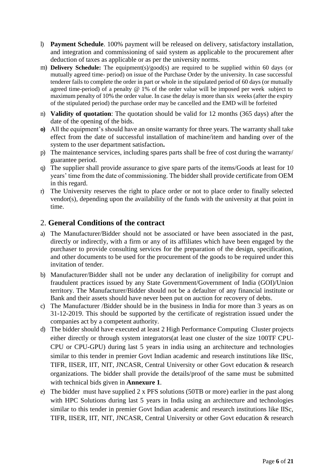- l) **Payment Schedule**. 100% payment will be released on delivery, satisfactory installation, and integration and commissioning of said system as applicable to the procurement after deduction of taxes as applicable or as per the university norms.
- m) **Delivery Schedule:** The equipment(s)/good(s) are required to be supplied within 60 days (or mutually agreed time- period) on issue of the Purchase Order by the university. In case successful tenderer fails to complete the order in part or whole in the stipulated period of 60 days (or mutually agreed time-period) of a penalty @ 1% of the order value will be imposed per week subject to maximum penalty of 10% the order value. In case the delay is more than six weeks (after the expiry of the stipulated period) the purchase order may be cancelled and the EMD will be forfeited
- n) **Validity of quotation**: The quotation should be valid for 12 months (365 days) after the date of the opening of the bids.
- **o)** All the equipment's should have an onsite warranty for three years. The warranty shall take effect from the date of successful installation of machine/item and handing over of the system to the user department satisfaction**.**
- p) The maintenance services, including spares parts shall be free of cost during the warranty/ guarantee period.
- q) The supplier shall provide assurance to give spare parts of the items/Goods at least for 10 years' time from the date of commissioning. The bidder shall provide certificate from OEM in this regard.
- r) The University reserves the right to place order or not to place order to finally selected vendor(s), depending upon the availability of the funds with the university at that point in time.

# 2. **General Conditions of the contract**

- a) The Manufacturer/Bidder should not be associated or have been associated in the past, directly or indirectly, with a firm or any of its affiliates which have been engaged by the purchaser to provide consulting services for the preparation of the design, specification, and other documents to be used for the procurement of the goods to be required under this invitation of tender.
- b) Manufacturer/Bidder shall not be under any declaration of ineligibility for corrupt and fraudulent practices issued by any State Government/Government of India (GOI)/Union territory. The Manufacturer/Bidder should not be a defaulter of any financial institute or Bank and their assets should have never been put on auction for recovery of debts.
- c) The Manufacturer /Bidder should be in the business in India for more than 3 years as on 31-12-2019. This should be supported by the certificate of registration issued under the companies act by a competent authority.
- d) The bidder should have executed at least 2 High Performance Computing Cluster projects either directly or through system integrators(at least one cluster of the size 100TF CPU-CPU or CPU-GPU) during last 5 years in india using an architecture and technologies similar to this tender in premier Govt Indian academic and research institutions like IISc, TIFR, IISER, IIT, NIT, JNCASR, Central University or other Govt education & research organizations. The bidder shall provide the details/proof of the same must be submitted with technical bids given in **Annexure 1**.
- e) The bidder must have supplied 2 x PFS solutions (50TB or more) earlier in the past along with HPC Solutions during last 5 years in India using an architecture and technologies similar to this tender in premier Govt Indian academic and research institutions like IISc, TIFR, IISER, IIT, NIT, JNCASR, Central University or other Govt education & research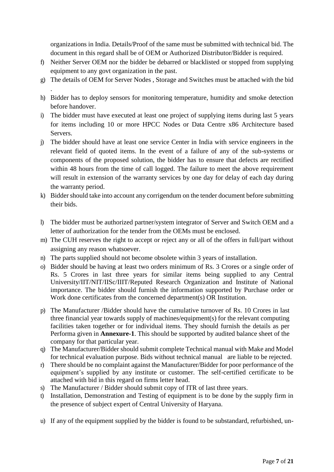organizations in India. Details/Proof of the same must be submitted with technical bid. The document in this regard shall be of OEM or Authorized Distributor/Bidder is required.

- f) Neither Server OEM nor the bidder be debarred or blacklisted or stopped from supplying equipment to any govt organization in the past.
- g) The details of OEM for Server Nodes , Storage and Switches must be attached with the bid

.

- h) Bidder has to deploy sensors for monitoring temperature, humidity and smoke detection before handover.
- i) The bidder must have executed at least one project of supplying items during last 5 years for items including 10 or more HPCC Nodes or Data Centre x86 Architecture based Servers.
- j) The bidder should have at least one service Center in India with service engineers in the relevant field of quoted items. In the event of a failure of any of the sub-systems or components of the proposed solution, the bidder has to ensure that defects are rectified within 48 hours from the time of call logged. The failure to meet the above requirement will result in extension of the warranty services by one day for delay of each day during the warranty period.
- k) Bidder should take into account any corrigendum on the tender document before submitting their bids.
- l) The bidder must be authorized partner/system integrator of Server and Switch OEM and a letter of authorization for the tender from the OEMs must be enclosed.
- m) The CUH reserves the right to accept or reject any or all of the offers in full/part without assigning any reason whatsoever.
- n) The parts supplied should not become obsolete within 3 years of installation.
- o) Bidder should be having at least two orders minimum of Rs. 3 Crores or a single order of Rs. 5 Crores in last three years for similar items being supplied to any Central University/IIT/NIT/IISc/IIIT/Reputed Research Organization and Institute of National importance. The bidder should furnish the information supported by Purchase order or Work done certificates from the concerned department(s) OR Institution.
- p) The Manufacturer /Bidder should have the cumulative turnover of Rs. 10 Crores in last three financial year towards supply of machines/equipment(s) for the relevant computing facilities taken together or for individual items. They should furnish the details as per Performa given in **Annexure-1**. This should be supported by audited balance sheet of the company for that particular year.
- q) The Manufacturer/Bidder should submit complete Technical manual with Make and Model for technical evaluation purpose. Bids without technical manual are liable to be rejected.
- r) There should be no complaint against the Manufacturer/Bidder for poor performance of the equipment's supplied by any institute or customer. The self-certified certificate to be attached with bid in this regard on firms letter head.
- s) The Manufacturer / Bidder should submit copy of ITR of last three years.
- t) Installation, Demonstration and Testing of equipment is to be done by the supply firm in the presence of subject expert of Central University of Haryana.
- u) If any of the equipment supplied by the bidder is found to be substandard, refurbished, un-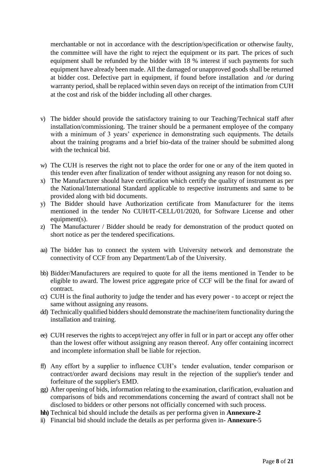merchantable or not in accordance with the description/specification or otherwise faulty, the committee will have the right to reject the equipment or its part. The prices of such equipment shall be refunded by the bidder with 18 % interest if such payments for such equipment have already been made. All the damaged or unapproved goods shall be returned at bidder cost. Defective part in equipment, if found before installation and /or during warranty period, shall be replaced within seven days on receipt of the intimation from CUH at the cost and risk of the bidder including all other charges.

- v) The bidder should provide the satisfactory training to our Teaching/Technical staff after installation/commissioning. The trainer should be a permanent employee of the company with a minimum of 3 years' experience in demonstrating such equipments. The details about the training programs and a brief bio-data of the trainer should be submitted along with the technical bid.
- w) The CUH is reserves the right not to place the order for one or any of the item quoted in this tender even after finalization of tender without assigning any reason for not doing so.
- x) The Manufacturer should have certification which certify the quality of instrument as per the National/International Standard applicable to respective instruments and same to be provided along with bid documents.
- y) The Bidder should have Authorization certificate from Manufacturer for the items mentioned in the tender No CUH/IT-CELL/01/2020, for Software License and other equipment(s).
- z) The Manufacturer / Bidder should be ready for demonstration of the product quoted on short notice as per the tendered specifications.
- aa) The bidder has to connect the system with University network and demonstrate the connectivity of CCF from any Department/Lab of the University.
- bb) Bidder/Manufacturers are required to quote for all the items mentioned in Tender to be eligible to award. The lowest price aggregate price of CCF will be the final for award of contract.
- cc) CUH is the final authority to judge the tender and has every power to accept or reject the same without assigning any reasons.
- dd) Technically qualified bidders should demonstrate the machine/item functionality during the installation and training.
- ee) CUH reserves the rights to accept/reject any offer in full or in part or accept any offer other than the lowest offer without assigning any reason thereof. Any offer containing incorrect and incomplete information shall be liable for rejection.
- ff) Any effort by a supplier to influence CUH's tender evaluation, tender comparison or contract/order award decisions may result in the rejection of the supplier's tender and forfeiture of the supplier's EMD.
- gg) After opening of bids, information relating to the examination, clarification, evaluation and comparisons of bids and recommendations concerning the award of contract shall not be disclosed to bidders or other persons not officially concerned with such process.
- **hh)** Technical bid should include the details as per performa given in **Annexure-2**
- ii) Financial bid should include the details as per performa given in- **Annexure-**5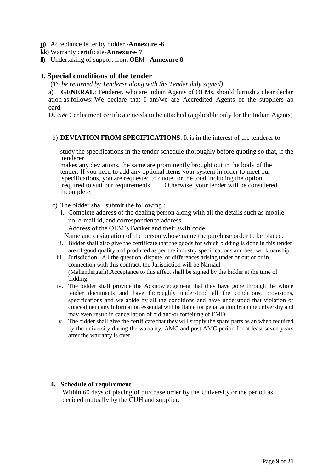- **jj)** Acceptance letter by bidder -**Annexure -6**
- **kk)** Warranty certificate-**Annexure- 7**
- **ll)** Undertaking of support from OEM **–Annexure 8**

## **3. Special conditions of the tender**

(*To be returned by Tenderer along with the Tender duly signed)* 

a) **GENERAL**: Tenderer, who are Indian Agents of OEMs, should furnish a clear declar ation as follows: We declare that I am/we are Accredited Agents of the suppliers ab oard.

DGS&D enlistment certificate needs to be attached (applicable only for the Indian Agents)

### b) **DEVIATION FROM SPECIFICATIONS**: It is in the interest of the tenderer to

study the specifications in the tender schedule thoroughly before quoting so that, if the tenderer

makes any deviations, the same are prominently brought out in the body of the tender. If you need to add any optional items your system in order to meet our specifications, you are requested to quote for the total including the option required to suit our requirements. Otherwise, your tender will be considered incomplete.

- c) The bidder shall submit the following :
	- i. Complete address of the dealing person along with all the details such as mobile no, e-mail id, and correspondence address.

Address of the OEM's Banker and their swift code.

Name and designation of the person whose name the purchase order to be placed.

- ii. Bidder shall also give the certificate that the goods for which bidding is done in this tender are of good quality and produced as per the industry specifications and best workmanship.
- iii. Jurisdiction –All the question, dispute, or differences arising under or out of or in connection with this contract, the Jurisdiction will be Narnaul (Mahendergarh).Acceptance to this affect shall be signed by the bidder at the time of bidding.
- iv. The bidder shall provide the Acknowledgement that they have gone through the whole tender documents and have thoroughly understood all the conditions, provisions, specifications and we abide by all the conditions and have understood that violation or concealment any information essential will be liable for penal action from the university and may even result in cancellation of bid and/or forfeiting of EMD.
- v. The bidder shall give the certificate that they will supply the spare parts as an when required by the university during the warranty, AMC and post AMC period for at least seven years after the warranty is over.

#### **4. Schedule of requirement**

Within 60 days of placing of purchase order by the University or the period as decided mutually by the CUH and supplier.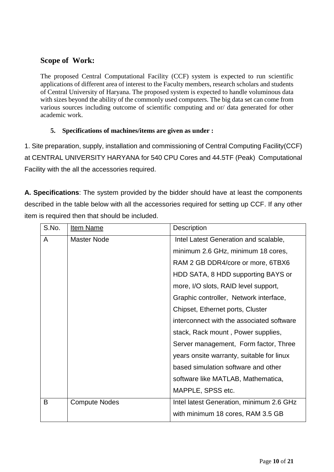# **Scope of Work:**

The proposed Central Computational Facility (CCF) system is expected to run scientific applications of different area of interest to the Faculty members, research scholars and students of Central University of Haryana. The proposed system is expected to handle voluminous data with sizes beyond the ability of the commonly used computers. The big data set can come from various sources including outcome of scientific computing and or/ data generated for other academic work.

## **5. Specifications of machines/items are given as under :**

1. Site preparation, supply, installation and commissioning of Central Computing Facility(CCF) at CENTRAL UNIVERSITY HARYANA for 540 CPU Cores and 44.5TF (Peak) Computational Facility with the all the accessories required.

**A. Specifications**: The system provided by the bidder should have at least the components described in the table below with all the accessories required for setting up CCF. If any other item is required then that should be included.

| S.No. | Item Name            | <b>Description</b>                        |  |  |  |
|-------|----------------------|-------------------------------------------|--|--|--|
| A     | <b>Master Node</b>   | Intel Latest Generation and scalable,     |  |  |  |
|       |                      | minimum 2.6 GHz, minimum 18 cores,        |  |  |  |
|       |                      | RAM 2 GB DDR4/core or more, 6TBX6         |  |  |  |
|       |                      | HDD SATA, 8 HDD supporting BAYS or        |  |  |  |
|       |                      | more, I/O slots, RAID level support,      |  |  |  |
|       |                      | Graphic controller, Network interface,    |  |  |  |
|       |                      | Chipset, Ethernet ports, Cluster          |  |  |  |
|       |                      | interconnect with the associated software |  |  |  |
|       |                      | stack, Rack mount, Power supplies,        |  |  |  |
|       |                      | Server management, Form factor, Three     |  |  |  |
|       |                      | years onsite warranty, suitable for linux |  |  |  |
|       |                      | based simulation software and other       |  |  |  |
|       |                      | software like MATLAB, Mathematica,        |  |  |  |
|       |                      | MAPPLE, SPSS etc.                         |  |  |  |
| B     | <b>Compute Nodes</b> | Intel latest Generation, minimum 2.6 GHz  |  |  |  |
|       |                      | with minimum 18 cores, RAM 3.5 GB         |  |  |  |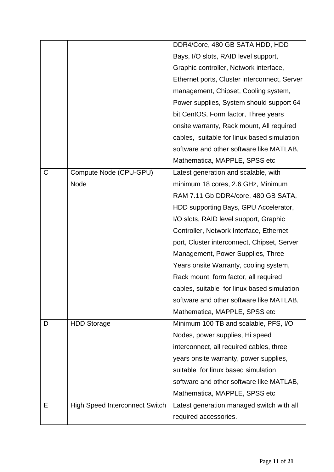|             |                                       | DDR4/Core, 480 GB SATA HDD, HDD              |
|-------------|---------------------------------------|----------------------------------------------|
|             |                                       | Bays, I/O slots, RAID level support,         |
|             |                                       | Graphic controller, Network interface,       |
|             |                                       | Ethernet ports, Cluster interconnect, Server |
|             |                                       | management, Chipset, Cooling system,         |
|             |                                       | Power supplies, System should support 64     |
|             |                                       | bit CentOS, Form factor, Three years         |
|             |                                       | onsite warranty, Rack mount, All required    |
|             |                                       | cables, suitable for linux based simulation  |
|             |                                       | software and other software like MATLAB,     |
|             |                                       | Mathematica, MAPPLE, SPSS etc                |
| $\mathsf C$ | Compute Node (CPU-GPU)                | Latest generation and scalable, with         |
|             | Node                                  | minimum 18 cores, 2.6 GHz, Minimum           |
|             |                                       | RAM 7.11 Gb DDR4/core, 480 GB SATA,          |
|             |                                       | HDD supporting Bays, GPU Accelerator,        |
|             |                                       | I/O slots, RAID level support, Graphic       |
|             |                                       | Controller, Network Interface, Ethernet      |
|             |                                       | port, Cluster interconnect, Chipset, Server  |
|             |                                       | Management, Power Supplies, Three            |
|             |                                       | Years onsite Warranty, cooling system,       |
|             |                                       | Rack mount, form factor, all required        |
|             |                                       | cables, suitable for linux based simulation  |
|             |                                       | software and other software like MATLAB,     |
|             |                                       | Mathematica, MAPPLE, SPSS etc                |
| D           | <b>HDD Storage</b>                    | Minimum 100 TB and scalable, PFS, I/O        |
|             |                                       | Nodes, power supplies, Hi speed              |
|             |                                       | interconnect, all required cables, three     |
|             |                                       | years onsite warranty, power supplies,       |
|             |                                       | suitable for linux based simulation          |
|             |                                       | software and other software like MATLAB,     |
|             |                                       | Mathematica, MAPPLE, SPSS etc                |
| Е           | <b>High Speed Interconnect Switch</b> | Latest generation managed switch with all    |
|             |                                       | required accessories.                        |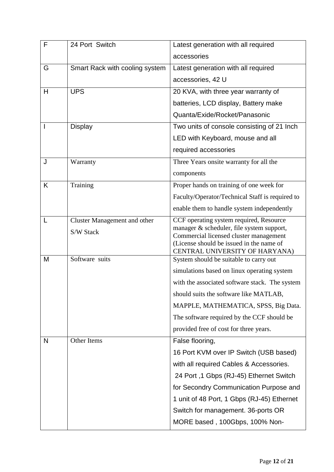| F | 24 Port Switch                      | Latest generation with all required                                                 |  |
|---|-------------------------------------|-------------------------------------------------------------------------------------|--|
|   |                                     | accessories                                                                         |  |
| G | Smart Rack with cooling system      | Latest generation with all required                                                 |  |
|   |                                     | accessories, 42 U                                                                   |  |
| H | <b>UPS</b>                          | 20 KVA, with three year warranty of                                                 |  |
|   |                                     | batteries, LCD display, Battery make                                                |  |
|   |                                     | Quanta/Exide/Rocket/Panasonic                                                       |  |
|   | <b>Display</b>                      | Two units of console consisting of 21 Inch                                          |  |
|   |                                     | LED with Keyboard, mouse and all                                                    |  |
|   |                                     | required accessories                                                                |  |
| J | Warranty                            | Three Years onsite warranty for all the                                             |  |
|   |                                     | components                                                                          |  |
| K | Training                            | Proper hands on training of one week for                                            |  |
|   |                                     | Faculty/Operator/Technical Staff is required to                                     |  |
|   |                                     | enable them to handle system independently                                          |  |
|   | <b>Cluster Management and other</b> | CCF operating system required, Resource                                             |  |
|   | S/W Stack                           | manager & scheduler, file system support,<br>Commercial licensed cluster management |  |
|   |                                     | (License should be issued in the name of                                            |  |
| M | Software suits                      | CENTRAL UNIVERSITY OF HARYANA)<br>System should be suitable to carry out            |  |
|   |                                     | simulations based on linux operating system                                         |  |
|   |                                     | with the associated software stack. The system                                      |  |
|   |                                     | should suits the software like MATLAB,                                              |  |
|   |                                     | MAPPLE, MATHEMATICA, SPSS, Big Data.                                                |  |
|   |                                     | The software required by the CCF should be                                          |  |
|   |                                     | provided free of cost for three years.                                              |  |
| N | Other Items                         | False flooring,                                                                     |  |
|   |                                     | 16 Port KVM over IP Switch (USB based)                                              |  |
|   |                                     | with all required Cables & Accessories.                                             |  |
|   |                                     | 24 Port, 1 Gbps (RJ-45) Ethernet Switch                                             |  |
|   |                                     | for Secondry Communication Purpose and                                              |  |
|   |                                     | 1 unit of 48 Port, 1 Gbps (RJ-45) Ethernet                                          |  |
|   |                                     | Switch for management. 36-ports OR                                                  |  |
|   |                                     | MORE based, 100Gbps, 100% Non-                                                      |  |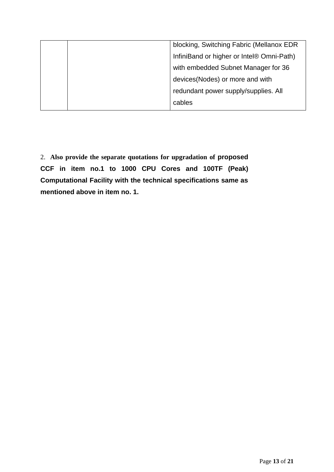|  | blocking, Switching Fabric (Mellanox EDR  |
|--|-------------------------------------------|
|  | InfiniBand or higher or Intel® Omni-Path) |
|  | with embedded Subnet Manager for 36       |
|  | devices(Nodes) or more and with           |
|  | redundant power supply/supplies. All      |
|  | cables                                    |

2. **Also provide the separate quotations for upgradation of proposed CCF in item no.1 to 1000 CPU Cores and 100TF (Peak) Computational Facility with the technical specifications same as mentioned above in item no. 1.**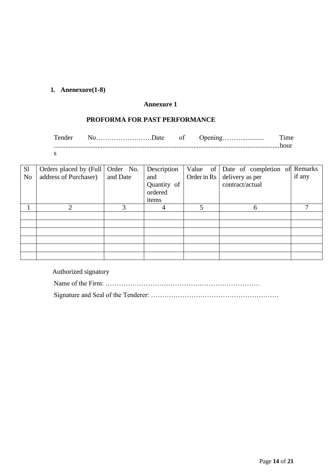# **1. Anenexure(1-8)**

## **Annexure 1**

## **PROFORMA FOR PAST PERFORMANCE**

Tender No…………………….Date of Opening………............. Time ......................................................................................................................................hour s

| S <sub>1</sub> | Orders placed by (Full   Order No. |          | Description |   | Value of Date of completion of Remarks |        |
|----------------|------------------------------------|----------|-------------|---|----------------------------------------|--------|
| N <sub>o</sub> | address of Purchaser)              | and Date | and         |   | Order in Rs $\vert$ delivery as per    | if any |
|                |                                    |          | Quantity of |   | contract/actual                        |        |
|                |                                    |          | ordered     |   |                                        |        |
|                |                                    |          | items       |   |                                        |        |
|                | າ                                  |          |             | 5 | 6                                      |        |
|                |                                    |          |             |   |                                        |        |
|                |                                    |          |             |   |                                        |        |
|                |                                    |          |             |   |                                        |        |
|                |                                    |          |             |   |                                        |        |
|                |                                    |          |             |   |                                        |        |
|                |                                    |          |             |   |                                        |        |

Authorized signatory

Name of the Firm: ……………………………………………………………

Signature and Seal of the Tenderer: …………………………………………………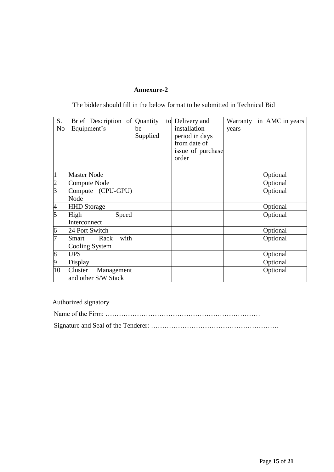## **Annexure-2**

The bidder should fill in the below format to be submitted in Technical Bid

| S.<br>N <sub>0</sub> | Brief Description of Quantity<br>Equipment's | be<br>Supplied | to Delivery and<br>installation<br>period in days<br>from date of<br>issue of purchase<br>order | years | Warranty in AMC in years |
|----------------------|----------------------------------------------|----------------|-------------------------------------------------------------------------------------------------|-------|--------------------------|
| 1                    | <b>Master Node</b>                           |                |                                                                                                 |       | Optional                 |
| $\overline{c}$       | Compute Node                                 |                |                                                                                                 |       | Optional                 |
| $\overline{3}$       | Compute (CPU-GPU)                            |                |                                                                                                 |       | Optional                 |
|                      | Node                                         |                |                                                                                                 |       |                          |
| $\frac{4}{5}$        | <b>HHD</b> Storage                           |                |                                                                                                 |       | Optional                 |
|                      | High<br>Speed                                |                |                                                                                                 |       | Optional                 |
|                      | Interconnect                                 |                |                                                                                                 |       |                          |
| $\overline{6}$       | 24 Port Switch                               |                |                                                                                                 |       | Optional                 |
| 7                    | with<br>Rack<br>Smart                        |                |                                                                                                 |       | Optional                 |
|                      | Cooling System                               |                |                                                                                                 |       |                          |
| 8                    | <b>UPS</b>                                   |                |                                                                                                 |       | Optional                 |
| 9                    | Display                                      |                |                                                                                                 |       | Optional                 |
| 10                   | Cluster<br>Management                        |                |                                                                                                 |       | Optional                 |
|                      | and other S/W Stack                          |                |                                                                                                 |       |                          |

Authorized signatory

Name of the Firm: ……………………………………………………………

Signature and Seal of the Tenderer: …………………………………………………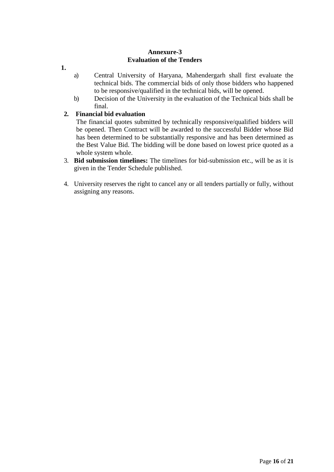## **Annexure-3 Evaluation of the Tenders**

- **1.**
- a) Central University of Haryana, Mahendergarh shall first evaluate the technical bids. The commercial bids of only those bidders who happened to be responsive/qualified in the technical bids, will be opened.
- b) Decision of the University in the evaluation of the Technical bids shall be final.

## **2. Financial bid evaluation**

The financial quotes submitted by technically responsive/qualified bidders will be opened. Then Contract will be awarded to the successful Bidder whose Bid has been determined to be substantially responsive and has been determined as the Best Value Bid. The bidding will be done based on lowest price quoted as a whole system whole.

- 3. **Bid submission timelines:** The timelines for bid-submission etc., will be as it is given in the Tender Schedule published.
- 4. University reserves the right to cancel any or all tenders partially or fully, without assigning any reasons.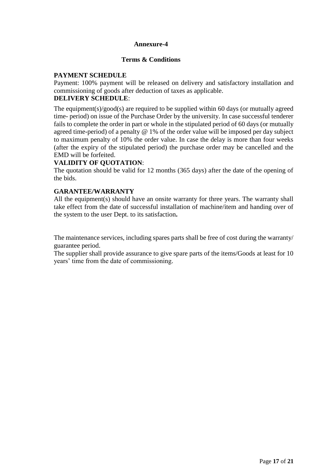## **Annexure-4**

## **Terms & Conditions**

## **PAYMENT SCHEDULE**

Payment: 100% payment will be released on delivery and satisfactory installation and commissioning of goods after deduction of taxes as applicable.

## **DELIVERY SCHEDULE**:

The equipment(s)/good(s) are required to be supplied within 60 days (or mutually agreed time- period) on issue of the Purchase Order by the university. In case successful tenderer fails to complete the order in part or whole in the stipulated period of 60 days (or mutually agreed time-period) of a penalty @ 1% of the order value will be imposed per day subject to maximum penalty of 10% the order value. In case the delay is more than four weeks (after the expiry of the stipulated period) the purchase order may be cancelled and the EMD will be forfeited.

## **VALIDITY OF QUOTATION**:

The quotation should be valid for 12 months (365 days) after the date of the opening of the bids.

## **GARANTEE/WARRANTY**

All the equipment(s) should have an onsite warranty for three years. The warranty shall take effect from the date of successful installation of machine/item and handing over of the system to the user Dept. to its satisfaction**.**

The maintenance services, including spares parts shall be free of cost during the warranty/ guarantee period.

The supplier shall provide assurance to give spare parts of the items/Goods at least for 10 years' time from the date of commissioning.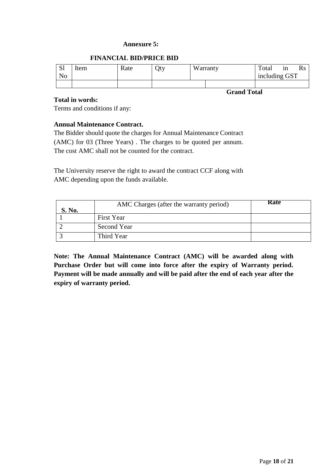#### **Annexure 5:**

### **FINANCIAL BID/PRICE BID**

| <sub>S1</sub> | Item | Rate | Qty | Warranty           | Total         | 1n |  |
|---------------|------|------|-----|--------------------|---------------|----|--|
| No            |      |      |     |                    | including GST |    |  |
|               |      |      |     |                    |               |    |  |
|               |      |      |     | <b>Grand Total</b> |               |    |  |

#### **Total in words:**

Terms and conditions if any:

## **Annual Maintenance Contract.**

The Bidder should quote the charges for Annual Maintenance Contract (AMC) for 03 (Three Years) . The charges to be quoted per annum. The cost AMC shall not be counted for the contract.

The University reserve the right to award the contract CCF along with AMC depending upon the funds available.

| S. No. | AMC Charges (after the warranty period) | <b>Rate</b> |
|--------|-----------------------------------------|-------------|
|        | First Year                              |             |
|        | Second Year                             |             |
|        | Third Year                              |             |

**Note: The Annual Maintenance Contract (AMC) will be awarded along with Purchase Order but will come into force after the expiry of Warranty period. Payment will be made annually and will be paid after the end of each year after the expiry of warranty period.**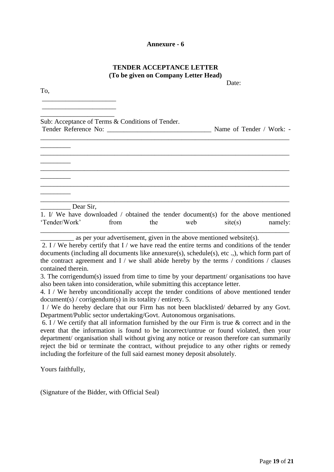#### **Annexure - 6**

## **TENDER ACCEPTANCE LETTER (To be given on Company Letter Head)**

Date:

To,

\_\_\_\_\_\_\_\_\_\_\_\_\_\_\_\_\_\_\_\_\_\_ \_\_\_\_\_\_\_\_\_\_\_\_\_\_\_\_\_\_\_\_\_\_

\_\_\_\_\_\_\_\_\_\_\_\_\_\_\_\_\_\_\_\_\_\_ Sub: Acceptance of Terms & Conditions of Tender. Tender Reference No: \_\_\_\_\_\_\_\_\_\_\_\_\_\_\_\_\_\_\_\_\_\_\_\_\_\_\_\_\_\_\_ Name of Tender / Work: - \_\_\_\_\_\_\_\_\_\_\_\_\_\_\_\_\_\_\_\_\_\_\_\_\_\_\_\_\_\_\_\_\_\_\_\_\_\_\_\_\_\_\_\_\_\_\_\_\_\_\_\_\_\_\_\_\_\_\_\_\_\_\_\_\_\_\_\_\_\_\_\_\_\_  $\overline{\phantom{a}}$   $\overline{\phantom{a}}$ \_\_\_\_\_\_\_\_\_\_\_\_\_\_\_\_\_\_\_\_\_\_\_\_\_\_\_\_\_\_\_\_\_\_\_\_\_\_\_\_\_\_\_\_\_\_\_\_\_\_\_\_\_\_\_\_\_\_\_\_\_\_\_\_\_\_\_\_\_\_\_\_\_\_  $\overline{\phantom{a}}$  , where  $\overline{\phantom{a}}$ \_\_\_\_\_\_\_\_\_\_\_\_\_\_\_\_\_\_\_\_\_\_\_\_\_\_\_\_\_\_\_\_\_\_\_\_\_\_\_\_\_\_\_\_\_\_\_\_\_\_\_\_\_\_\_\_\_\_\_\_\_\_\_\_\_\_\_\_\_\_\_\_\_\_ \_\_\_\_\_\_\_\_\_\_\_\_\_\_\_\_\_\_\_\_\_\_\_\_\_\_\_\_\_\_\_\_\_\_\_\_\_\_\_\_\_\_\_\_\_\_\_\_\_\_\_\_\_\_\_\_\_\_\_\_\_\_\_\_\_\_\_\_\_\_\_\_\_\_  $\overline{\phantom{a}}$  , where  $\overline{\phantom{a}}$ \_\_\_\_\_\_\_\_\_\_\_\_\_\_\_\_\_\_\_\_\_\_\_\_\_\_\_\_\_\_\_\_\_\_\_\_\_\_\_\_\_\_\_\_\_\_\_\_\_\_\_\_\_\_\_\_\_\_\_\_\_\_\_\_\_\_\_\_\_\_\_\_\_\_ Dear Sir. 1. I/ We have downloaded / obtained the tender document(s) for the above mentioned 'Tender/Work' from the web site(s) namely:

\_\_\_\_\_\_\_\_\_\_\_\_\_\_\_\_\_\_\_\_\_\_\_\_\_\_\_\_\_\_\_\_\_\_\_\_\_\_\_\_\_\_\_\_\_\_\_\_\_\_\_\_\_\_\_\_\_\_\_\_\_\_\_\_\_\_\_\_\_\_\_\_\_\_  $\equiv$  as per your advertisement, given in the above mentioned website(s).

2. I / We hereby certify that I / we have read the entire terms and conditions of the tender documents (including all documents like annexure(s), schedule(s), etc .,), which form part of the contract agreement and  $I /$  we shall abide hereby by the terms  $/$  conditions  $/$  clauses contained therein.

3. The corrigendum(s) issued from time to time by your department/ organisations too have also been taken into consideration, while submitting this acceptance letter.

4. I / We hereby unconditionally accept the tender conditions of above mentioned tender document(s) / corrigendum(s) in its totality / entirety. 5.

I / We do hereby declare that our Firm has not been blacklisted/ debarred by any Govt. Department/Public sector undertaking/Govt. Autonomous organisations.

6. I / We certify that all information furnished by the our Firm is true  $\&$  correct and in the event that the information is found to be incorrect/untrue or found violated, then your department/ organisation shall without giving any notice or reason therefore can summarily reject the bid or terminate the contract, without prejudice to any other rights or remedy including the forfeiture of the full said earnest money deposit absolutely.

Yours faithfully,

(Signature of the Bidder, with Official Seal)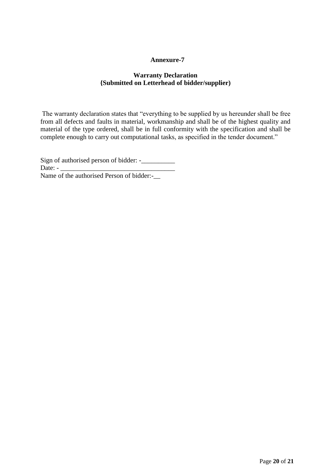## **Annexure-7**

## **Warranty Declaration {Submitted on Letterhead of bidder/supplier)**

The warranty declaration states that "everything to be supplied by us hereunder shall be free from all defects and faults in material, workmanship and shall be of the highest quality and material of the type ordered, shall be in full conformity with the specification and shall be complete enough to carry out computational tasks, as specified in the tender document."

Sign of authorised person of bidder: -\_\_\_\_\_\_\_\_\_\_ Date: -Name of the authorised Person of bidder:-\_\_